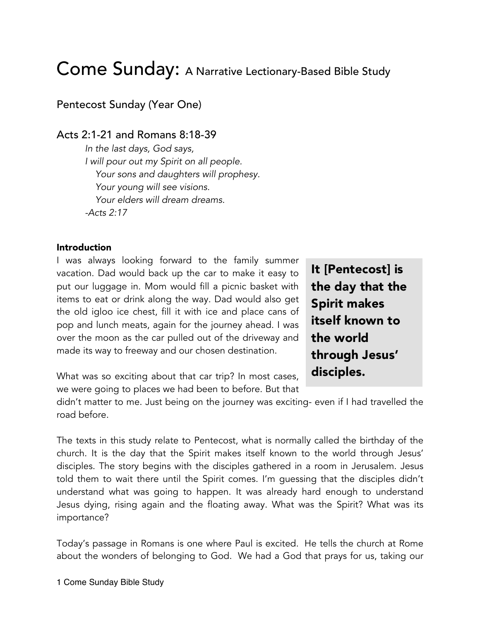# Come Sunday: A Narrative Lectionary-Based Bible Study

Pentecost Sunday (Year One)

# Acts 2:1-21 and Romans 8:18-39

*In the last days, God says, I will pour out my Spirit on all people. Your sons and daughters will prophesy. Your young will see visions. Your elders will dream dreams. -Acts 2:17*

#### Introduction

I was always looking forward to the family summer vacation. Dad would back up the car to make it easy to put our luggage in. Mom would fill a picnic basket with items to eat or drink along the way. Dad would also get the old igloo ice chest, fill it with ice and place cans of pop and lunch meats, again for the journey ahead. I was over the moon as the car pulled out of the driveway and made its way to freeway and our chosen destination.

What was so exciting about that car trip? In most cases, we were going to places we had been to before. But that It [Pentecost] is the day that the Spirit makes itself known to the world through Jesus' disciples.

didn't matter to me. Just being on the journey was exciting- even if I had travelled the road before.

The texts in this study relate to Pentecost, what is normally called the birthday of the church. It is the day that the Spirit makes itself known to the world through Jesus' disciples. The story begins with the disciples gathered in a room in Jerusalem. Jesus told them to wait there until the Spirit comes. I'm guessing that the disciples didn't understand what was going to happen. It was already hard enough to understand Jesus dying, rising again and the floating away. What was the Spirit? What was its importance?

Today's passage in Romans is one where Paul is excited. He tells the church at Rome about the wonders of belonging to God. We had a God that prays for us, taking our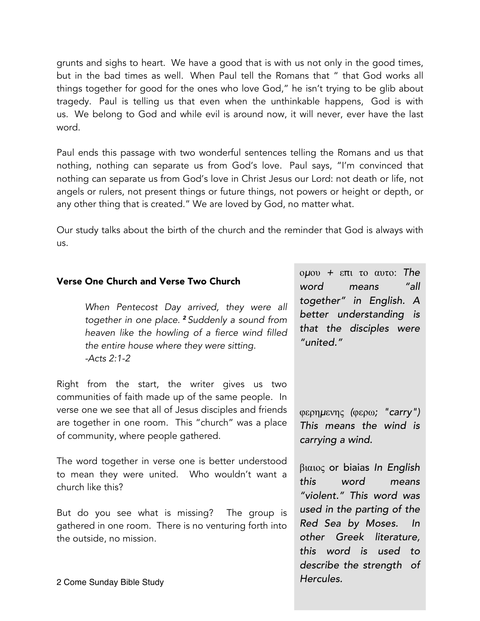grunts and sighs to heart. We have a good that is with us not only in the good times, but in the bad times as well. When Paul tell the Romans that " that God works all things together for good for the ones who love God," he isn't trying to be glib about tragedy. Paul is telling us that even when the unthinkable happens, God is with us. We belong to God and while evil is around now, it will never, ever have the last word.

Paul ends this passage with two wonderful sentences telling the Romans and us that nothing, nothing can separate us from God's love. Paul says, "I'm convinced that nothing can separate us from God's love in Christ Jesus our Lord: not death or life, not angels or rulers, not present things or future things, not powers or height or depth, or any other thing that is created." We are loved by God, no matter what.

Our study talks about the birth of the church and the reminder that God is always with us.

### Verse One Church and Verse Two Church

*When Pentecost Day arrived, they were all together in one place. <sup>2</sup> Suddenly a sound from heaven like the howling of a fierce wind filled the entire house where they were sitting. -Acts 2:1-2*

Right from the start, the writer gives us two communities of faith made up of the same people. In verse one we see that all of Jesus disciples and friends are together in one room. This "church" was a place of community, where people gathered.

The word together in verse one is better understood to mean they were united. Who wouldn't want a church like this?

But do you see what is missing? The group is gathered in one room. There is no venturing forth into the outside, no mission.

ομου *+* επι το αυτο: *The word means "all together" in English. A better understanding is that the disciples were "united."*

φερημενης *(*φερω*; "carry") This means the wind is carrying a wind.*

βιαιος or biaias *In English this word means "violent." This word was used in the parting of the Red Sea by Moses. other Greek literature, this word is used to describe the strength of Hercules.*

2 Come Sunday Bible Study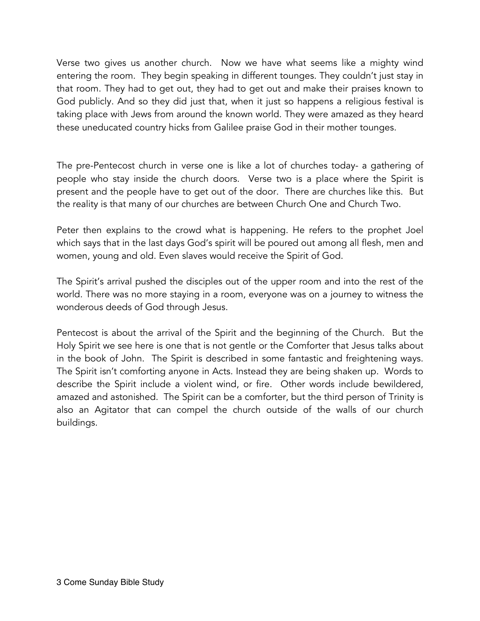Verse two gives us another church. Now we have what seems like a mighty wind entering the room. They begin speaking in different tounges. They couldn't just stay in that room. They had to get out, they had to get out and make their praises known to God publicly. And so they did just that, when it just so happens a religious festival is taking place with Jews from around the known world. They were amazed as they heard these uneducated country hicks from Galilee praise God in their mother tounges.

The pre-Pentecost church in verse one is like a lot of churches today- a gathering of people who stay inside the church doors. Verse two is a place where the Spirit is present and the people have to get out of the door. There are churches like this. But the reality is that many of our churches are between Church One and Church Two.

Peter then explains to the crowd what is happening. He refers to the prophet Joel which says that in the last days God's spirit will be poured out among all flesh, men and women, young and old. Even slaves would receive the Spirit of God.

The Spirit's arrival pushed the disciples out of the upper room and into the rest of the world. There was no more staying in a room, everyone was on a journey to witness the wonderous deeds of God through Jesus.

Pentecost is about the arrival of the Spirit and the beginning of the Church. But the Holy Spirit we see here is one that is not gentle or the Comforter that Jesus talks about in the book of John. The Spirit is described in some fantastic and freightening ways. The Spirit isn't comforting anyone in Acts. Instead they are being shaken up. Words to describe the Spirit include a violent wind, or fire. Other words include bewildered, amazed and astonished. The Spirit can be a comforter, but the third person of Trinity is also an Agitator that can compel the church outside of the walls of our church buildings.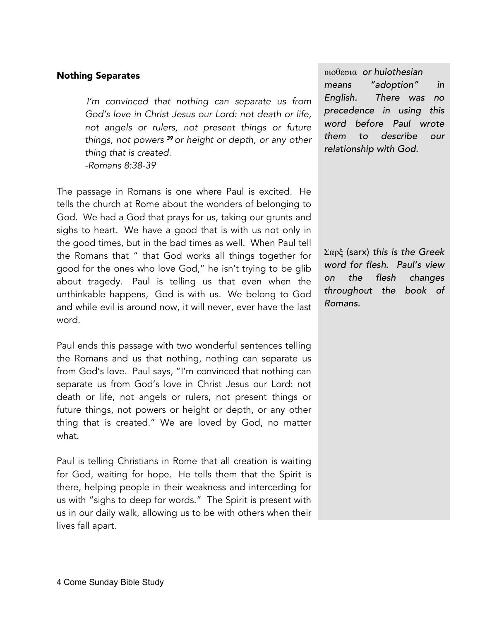#### Nothing Separates

*I'm convinced that nothing can separate us from God's love in Christ Jesus our Lord: not death or life, not angels or rulers, not present things or future things, not powers <sup>39</sup> or height or depth, or any other thing that is created. -Romans 8:38-39*

The passage in Romans is one where Paul is excited. He tells the church at Rome about the wonders of belonging to God. We had a God that prays for us, taking our grunts and sighs to heart. We have a good that is with us not only in the good times, but in the bad times as well. When Paul tell the Romans that " that God works all things together for good for the ones who love God," he isn't trying to be glib about tragedy. Paul is telling us that even when the unthinkable happens, God is with us. We belong to God and while evil is around now, it will never, ever have the last word.

Paul ends this passage with two wonderful sentences telling the Romans and us that nothing, nothing can separate us from God's love. Paul says, "I'm convinced that nothing can separate us from God's love in Christ Jesus our Lord: not death or life, not angels or rulers, not present things or future things, not powers or height or depth, or any other thing that is created." We are loved by God, no matter what.

Paul is telling Christians in Rome that all creation is waiting for God, waiting for hope. He tells them that the Spirit is there, helping people in their weakness and interceding for us with "sighs to deep for words." The Spirit is present with us in our daily walk, allowing us to be with others when their lives fall apart.

υιοθεσια *or huiothesian means "adoption" in English. There was no precedence in using this word before Paul wrote them to describe our relationship with God.*

Σαρξ (sarx) *this is the Greek word for flesh. Paul's view on the flesh changes throughout the book of Romans.*